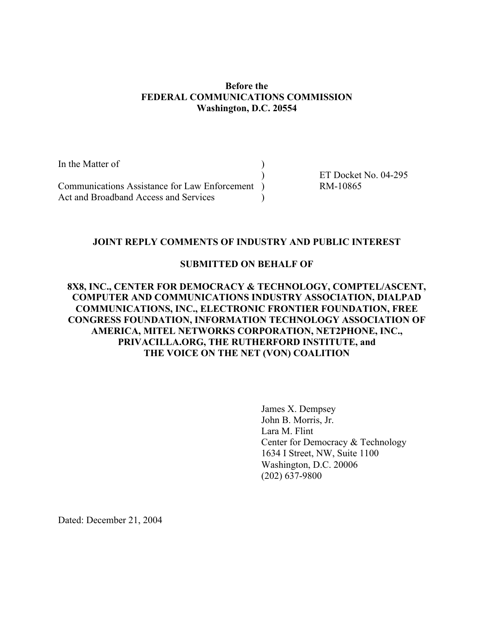#### Before the FEDERAL COMMUNICATIONS COMMISSION Washington, D.C. 20554

| In the Matter of                              |                      |
|-----------------------------------------------|----------------------|
|                                               | ET Docket No. 04-295 |
| Communications Assistance for Law Enforcement | RM-10865             |
| Act and Broadband Access and Services         |                      |

### JOINT REPLY COMMENTS OF INDUSTRY AND PUBLIC INTEREST

#### SUBMITTED ON BEHALF OF

### 8X8, INC., CENTER FOR DEMOCRACY & TECHNOLOGY, COMPTEL/ASCENT, COMPUTER AND COMMUNICATIONS INDUSTRY ASSOCIATION, DIALPAD COMMUNICATIONS, INC., ELECTRONIC FRONTIER FOUNDATION, FREE CONGRESS FOUNDATION, INFORMATION TECHNOLOGY ASSOCIATION OF AMERICA, MITEL NETWORKS CORPORATION, NET2PHONE, INC., PRIVACILLA.ORG, THE RUTHERFORD INSTITUTE, and THE VOICE ON THE NET (VON) COALITION

James X. Dempsey John B. Morris, Jr. Lara M. Flint Center for Democracy & Technology 1634 I Street, NW, Suite 1100 Washington, D.C. 20006 (202) 637-9800

Dated: December 21, 2004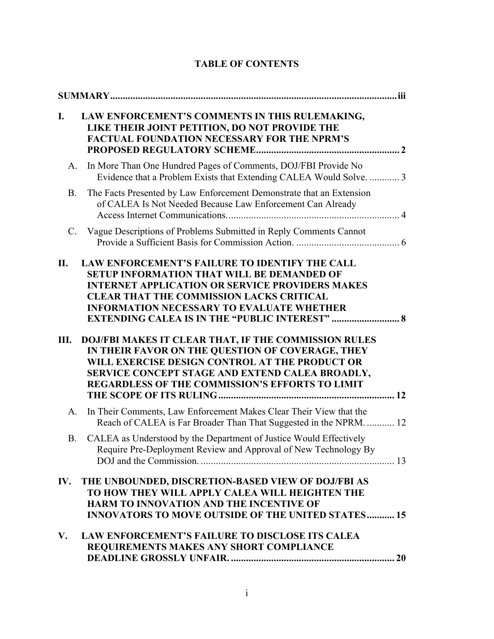| I.          | LAW ENFORCEMENT'S COMMENTS IN THIS RULEMAKING,<br>LIKE THEIR JOINT PETITION, DO NOT PROVIDE THE<br>FACTUAL FOUNDATION NECESSARY FOR THE NPRM'S                                                                                                                                                                                |
|-------------|-------------------------------------------------------------------------------------------------------------------------------------------------------------------------------------------------------------------------------------------------------------------------------------------------------------------------------|
| A.          | In More Than One Hundred Pages of Comments, DOJ/FBI Provide No<br>Evidence that a Problem Exists that Extending CALEA Would Solve.  3                                                                                                                                                                                         |
| <b>B.</b>   | The Facts Presented by Law Enforcement Demonstrate that an Extension<br>of CALEA Is Not Needed Because Law Enforcement Can Already                                                                                                                                                                                            |
| $C_{\cdot}$ | Vague Descriptions of Problems Submitted in Reply Comments Cannot                                                                                                                                                                                                                                                             |
| II.         | LAW ENFORCEMENT'S FAILURE TO IDENTIFY THE CALL<br><b>SETUP INFORMATION THAT WILL BE DEMANDED OF</b><br><b>INTERNET APPLICATION OR SERVICE PROVIDERS MAKES</b><br><b>CLEAR THAT THE COMMISSION LACKS CRITICAL</b><br><b>INFORMATION NECESSARY TO EVALUATE WHETHER</b><br><b>EXTENDING CALEA IS IN THE "PUBLIC INTEREST"  8</b> |
| Ш.          | DOJ/FBI MAKES IT CLEAR THAT, IF THE COMMISSION RULES<br>IN THEIR FAVOR ON THE QUESTION OF COVERAGE, THEY<br>WILL EXERCISE DESIGN CONTROL AT THE PRODUCT OR<br>SERVICE CONCEPT STAGE AND EXTEND CALEA BROADLY,<br><b>REGARDLESS OF THE COMMISSION'S EFFORTS TO LIMIT</b>                                                       |
| A.          | In Their Comments, Law Enforcement Makes Clear Their View that the<br>Reach of CALEA is Far Broader Than That Suggested in the NPRM 12                                                                                                                                                                                        |
| <b>B.</b>   | CALEA as Understood by the Department of Justice Would Effectively<br>Require Pre-Deployment Review and Approval of New Technology By                                                                                                                                                                                         |
| IV.         | THE UNBOUNDED, DISCRETION-BASED VIEW OF DOJ/FBI AS<br>TO HOW THEY WILL APPLY CALEA WILL HEIGHTEN THE<br><b>HARM TO INNOVATION AND THE INCENTIVE OF</b><br><b>INNOVATORS TO MOVE OUTSIDE OF THE UNITED STATES 15</b>                                                                                                           |
| V.          | <b>LAW ENFORCEMENT'S FAILURE TO DISCLOSE ITS CALEA</b><br>REQUIREMENTS MAKES ANY SHORT COMPLIANCE                                                                                                                                                                                                                             |

# TABLE OF CONTENTS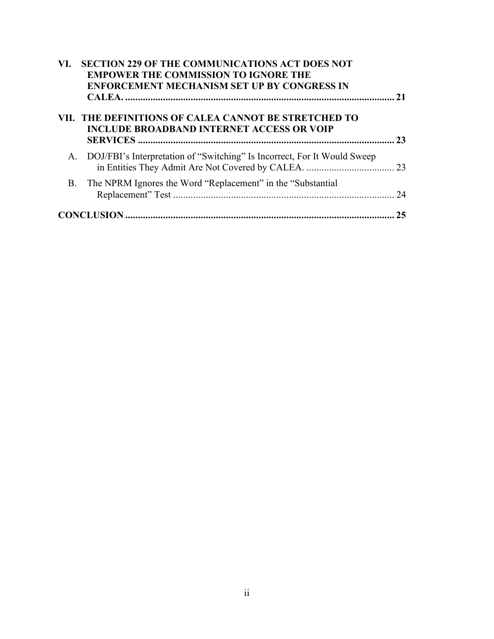| VI.       | <b>SECTION 229 OF THE COMMUNICATIONS ACT DOES NOT</b><br><b>EMPOWER THE COMMISSION TO IGNORE THE</b><br><b>ENFORCEMENT MECHANISM SET UP BY CONGRESS IN</b> | 21 |
|-----------|------------------------------------------------------------------------------------------------------------------------------------------------------------|----|
|           | VII. THE DEFINITIONS OF CALEA CANNOT BE STRETCHED TO<br><b>INCLUDE BROADBAND INTERNET ACCESS OR VOIP</b>                                                   | 23 |
|           | A. DOJ/FBI's Interpretation of "Switching" Is Incorrect, For It Would Sweep                                                                                |    |
| <b>B.</b> | The NPRM Ignores the Word "Replacement" in the "Substantial"                                                                                               | 24 |
|           |                                                                                                                                                            | 25 |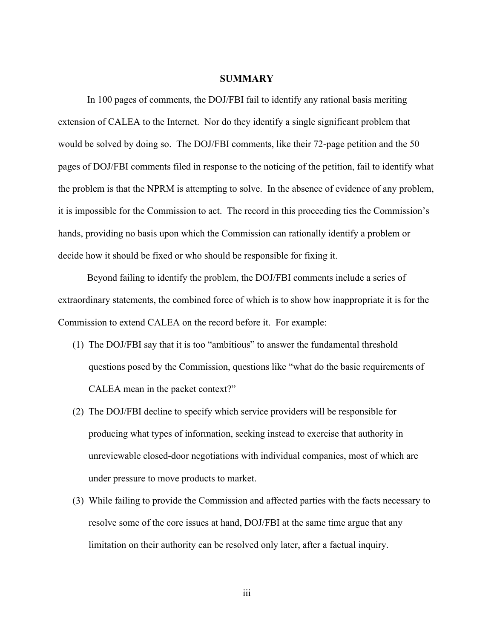#### **SUMMARY**

In 100 pages of comments, the DOJ/FBI fail to identify any rational basis meriting extension of CALEA to the Internet. Nor do they identify a single significant problem that would be solved by doing so. The DOJ/FBI comments, like their 72-page petition and the 50 pages of DOJ/FBI comments filed in response to the noticing of the petition, fail to identify what the problem is that the NPRM is attempting to solve. In the absence of evidence of any problem, it is impossible for the Commission to act. The record in this proceeding ties the Commission's hands, providing no basis upon which the Commission can rationally identify a problem or decide how it should be fixed or who should be responsible for fixing it.

Beyond failing to identify the problem, the DOJ/FBI comments include a series of extraordinary statements, the combined force of which is to show how inappropriate it is for the Commission to extend CALEA on the record before it. For example:

- (1) The DOJ/FBI say that it is too "ambitious" to answer the fundamental threshold questions posed by the Commission, questions like "what do the basic requirements of CALEA mean in the packet context?"
- (2) The DOJ/FBI decline to specify which service providers will be responsible for producing what types of information, seeking instead to exercise that authority in unreviewable closed-door negotiations with individual companies, most of which are under pressure to move products to market.
- (3) While failing to provide the Commission and affected parties with the facts necessary to resolve some of the core issues at hand, DOJ/FBI at the same time argue that any limitation on their authority can be resolved only later, after a factual inquiry.

iii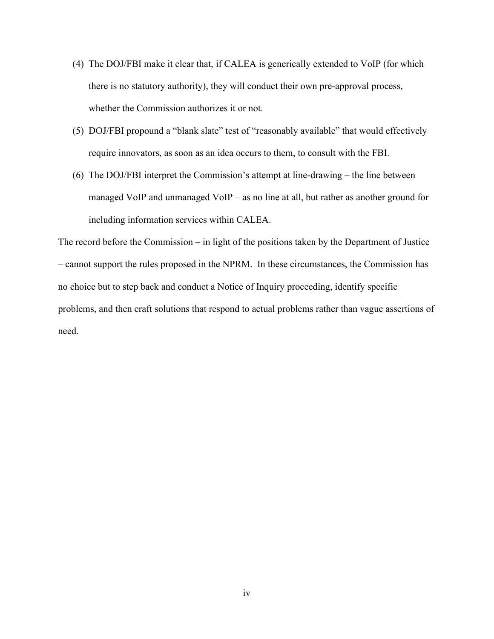- (4) The DOJ/FBI make it clear that, if CALEA is generically extended to VoIP (for which there is no statutory authority), they will conduct their own pre-approval process, whether the Commission authorizes it or not.
- (5) DOJ/FBI propound a "blank slate" test of "reasonably available" that would effectively require innovators, as soon as an idea occurs to them, to consult with the FBI.
- (6) The DOJ/FBI interpret the Commission's attempt at line-drawing the line between managed VoIP and unmanaged VoIP – as no line at all, but rather as another ground for including information services within CALEA.

The record before the Commission – in light of the positions taken by the Department of Justice – cannot support the rules proposed in the NPRM. In these circumstances, the Commission has no choice but to step back and conduct a Notice of Inquiry proceeding, identify specific problems, and then craft solutions that respond to actual problems rather than vague assertions of need.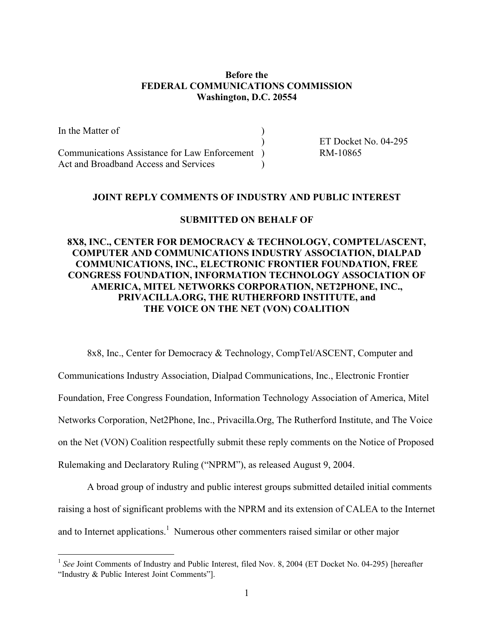#### Before the FEDERAL COMMUNICATIONS COMMISSION Washington, D.C. 20554

In the Matter of ) ET Docket No. 04-295 Communications Assistance for Law Enforcement ) RM-10865 Act and Broadband Access and Services

#### JOINT REPLY COMMENTS OF INDUSTRY AND PUBLIC INTEREST

#### SUBMITTED ON BEHALF OF

### 8X8, INC., CENTER FOR DEMOCRACY & TECHNOLOGY, COMPTEL/ASCENT, COMPUTER AND COMMUNICATIONS INDUSTRY ASSOCIATION, DIALPAD COMMUNICATIONS, INC., ELECTRONIC FRONTIER FOUNDATION, FREE CONGRESS FOUNDATION, INFORMATION TECHNOLOGY ASSOCIATION OF AMERICA, MITEL NETWORKS CORPORATION, NET2PHONE, INC., PRIVACILLA.ORG, THE RUTHERFORD INSTITUTE, and THE VOICE ON THE NET (VON) COALITION

8x8, Inc., Center for Democracy & Technology, CompTel/ASCENT, Computer and Communications Industry Association, Dialpad Communications, Inc., Electronic Frontier Foundation, Free Congress Foundation, Information Technology Association of America, Mitel Networks Corporation, Net2Phone, Inc., Privacilla.Org, The Rutherford Institute, and The Voice on the Net (VON) Coalition respectfully submit these reply comments on the Notice of Proposed Rulemaking and Declaratory Ruling ("NPRM"), as released August 9, 2004.

A broad group of industry and public interest groups submitted detailed initial comments raising a host of significant problems with the NPRM and its extension of CALEA to the Internet and to Internet applications.<sup>1</sup> Numerous other commenters raised similar or other major

<sup>&</sup>lt;sup>1</sup> See Joint Comments of Industry and Public Interest, filed Nov. 8, 2004 (ET Docket No. 04-295) [hereafter "Industry & Public Interest Joint Comments"].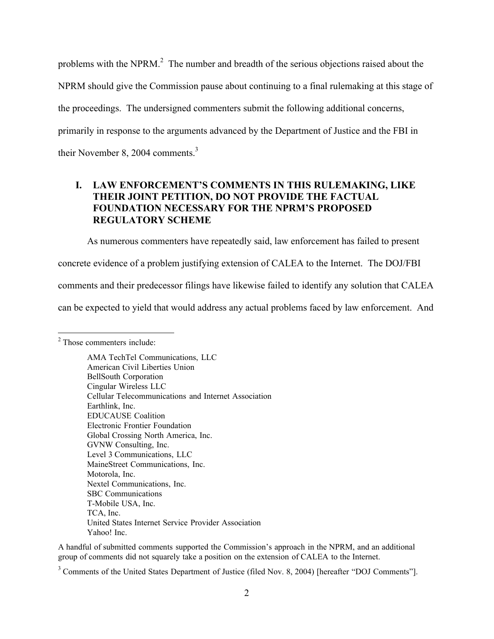problems with the NPRM. $<sup>2</sup>$  The number and breadth of the serious objections raised about the</sup> NPRM should give the Commission pause about continuing to a final rulemaking at this stage of the proceedings. The undersigned commenters submit the following additional concerns, primarily in response to the arguments advanced by the Department of Justice and the FBI in their November 8, 2004 comments.<sup>3</sup>

# I. LAW ENFORCEMENT'S COMMENTS IN THIS RULEMAKING, LIKE THEIR JOINT PETITION, DO NOT PROVIDE THE FACTUAL FOUNDATION NECESSARY FOR THE NPRM'S PROPOSED REGULATORY SCHEME

As numerous commenters have repeatedly said, law enforcement has failed to present concrete evidence of a problem justifying extension of CALEA to the Internet. The DOJ/FBI comments and their predecessor filings have likewise failed to identify any solution that CALEA can be expected to yield that would address any actual problems faced by law enforcement. And

A handful of submitted comments supported the Commission's approach in the NPRM, and an additional group of comments did not squarely take a position on the extension of CALEA to the Internet.

 $\frac{1}{2}$  $2$  Those commenters include:

AMA TechTel Communications, LLC American Civil Liberties Union BellSouth Corporation Cingular Wireless LLC Cellular Telecommunications and Internet Association Earthlink, Inc. EDUCAUSE Coalition Electronic Frontier Foundation Global Crossing North America, Inc. GVNW Consulting, Inc. Level 3 Communications, LLC MaineStreet Communications, Inc. Motorola, Inc. Nextel Communications, Inc. SBC Communications T-Mobile USA, Inc. TCA, Inc. United States Internet Service Provider Association Yahoo! Inc.

<sup>&</sup>lt;sup>3</sup> Comments of the United States Department of Justice (filed Nov. 8, 2004) [hereafter "DOJ Comments"].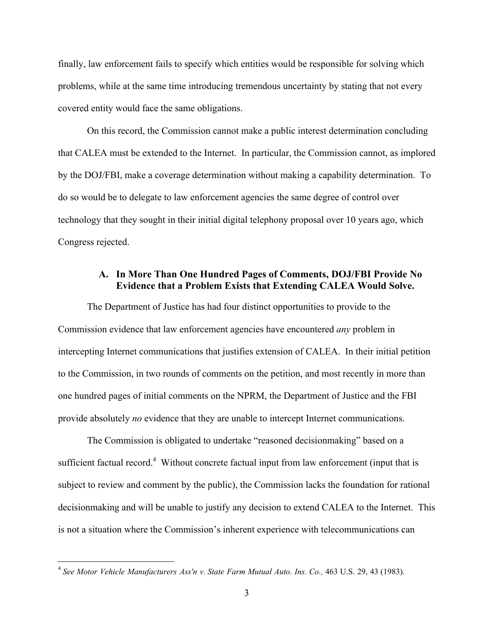finally, law enforcement fails to specify which entities would be responsible for solving which problems, while at the same time introducing tremendous uncertainty by stating that not every covered entity would face the same obligations.

On this record, the Commission cannot make a public interest determination concluding that CALEA must be extended to the Internet. In particular, the Commission cannot, as implored by the DOJ/FBI, make a coverage determination without making a capability determination. To do so would be to delegate to law enforcement agencies the same degree of control over technology that they sought in their initial digital telephony proposal over 10 years ago, which Congress rejected.

# A. In More Than One Hundred Pages of Comments, DOJ/FBI Provide No Evidence that a Problem Exists that Extending CALEA Would Solve.

The Department of Justice has had four distinct opportunities to provide to the Commission evidence that law enforcement agencies have encountered *any* problem in intercepting Internet communications that justifies extension of CALEA. In their initial petition to the Commission, in two rounds of comments on the petition, and most recently in more than one hundred pages of initial comments on the NPRM, the Department of Justice and the FBI provide absolutely *no* evidence that they are unable to intercept Internet communications.

The Commission is obligated to undertake "reasoned decisionmaking" based on a sufficient factual record.<sup>4</sup> Without concrete factual input from law enforcement (input that is subject to review and comment by the public), the Commission lacks the foundation for rational decisionmaking and will be unable to justify any decision to extend CALEA to the Internet. This is not a situation where the Commission's inherent experience with telecommunications can

 <sup>4</sup> *See Motor Vehicle Manufacturers Ass'n v. State Farm Mutual Auto. Ins. Co.,* 463 U.S. 29, 43 (1983).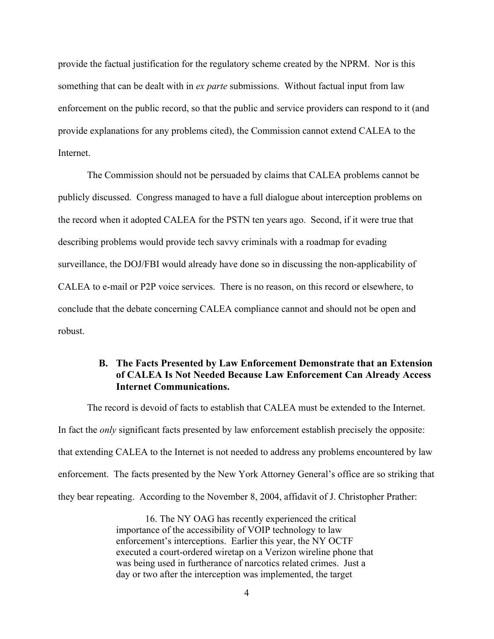provide the factual justification for the regulatory scheme created by the NPRM. Nor is this something that can be dealt with in *ex parte* submissions. Without factual input from law enforcement on the public record, so that the public and service providers can respond to it (and provide explanations for any problems cited), the Commission cannot extend CALEA to the Internet.

The Commission should not be persuaded by claims that CALEA problems cannot be publicly discussed. Congress managed to have a full dialogue about interception problems on the record when it adopted CALEA for the PSTN ten years ago. Second, if it were true that describing problems would provide tech savvy criminals with a roadmap for evading surveillance, the DOJ/FBI would already have done so in discussing the non-applicability of CALEA to e-mail or P2P voice services. There is no reason, on this record or elsewhere, to conclude that the debate concerning CALEA compliance cannot and should not be open and robust.

### B. The Facts Presented by Law Enforcement Demonstrate that an Extension of CALEA Is Not Needed Because Law Enforcement Can Already Access Internet Communications.

The record is devoid of facts to establish that CALEA must be extended to the Internet. In fact the *only* significant facts presented by law enforcement establish precisely the opposite: that extending CALEA to the Internet is not needed to address any problems encountered by law enforcement. The facts presented by the New York Attorney General's office are so striking that they bear repeating. According to the November 8, 2004, affidavit of J. Christopher Prather:

> 16. The NY OAG has recently experienced the critical importance of the accessibility of VOIP technology to law enforcement's interceptions. Earlier this year, the NY OCTF executed a court-ordered wiretap on a Verizon wireline phone that was being used in furtherance of narcotics related crimes. Just a day or two after the interception was implemented, the target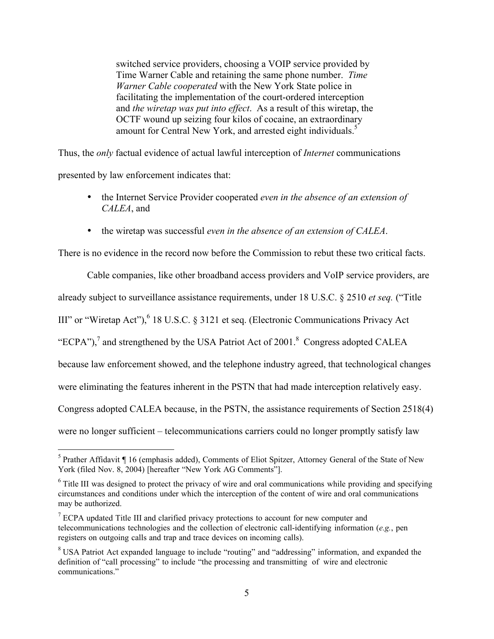switched service providers, choosing a VOIP service provided by Time Warner Cable and retaining the same phone number. *Time Warner Cable cooperated* with the New York State police in facilitating the implementation of the court-ordered interception and *the wiretap was put into effect*. As a result of this wiretap, the OCTF wound up seizing four kilos of cocaine, an extraordinary amount for Central New York, and arrested eight individuals.<sup>5</sup>

Thus, the *only* factual evidence of actual lawful interception of *Internet* communications

presented by law enforcement indicates that:

- the Internet Service Provider cooperated *even in the absence of an extension of CALEA*, and
- the wiretap was successful *even in the absence of an extension of CALEA*.

There is no evidence in the record now before the Commission to rebut these two critical facts.

Cable companies, like other broadband access providers and VoIP service providers, are already subject to surveillance assistance requirements, under 18 U.S.C. § 2510 *et seq.* ("Title III" or "Wiretap Act"), <sup>6</sup> 18 U.S.C. § 3121 et seq. (Electronic Communications Privacy Act "ECPA"), $^7$  and strengthened by the USA Patriot Act of 2001.<sup>8</sup> Congress adopted CALEA because law enforcement showed, and the telephone industry agreed, that technological changes were eliminating the features inherent in the PSTN that had made interception relatively easy. Congress adopted CALEA because, in the PSTN, the assistance requirements of Section 2518(4) were no longer sufficient – telecommunications carriers could no longer promptly satisfy law

 <sup>5</sup>  $5$  Prather Affidavit ¶ 16 (emphasis added), Comments of Eliot Spitzer, Attorney General of the State of New York (filed Nov. 8, 2004) [hereafter "New York AG Comments"].

<sup>&</sup>lt;sup>6</sup> Title III was designed to protect the privacy of wire and oral communications while providing and specifying circumstances and conditions under which the interception of the content of wire and oral communications may be authorized.

 $7$  ECPA updated Title III and clarified privacy protections to account for new computer and telecommunications technologies and the collection of electronic call-identifying information (*e.g.*, pen registers on outgoing calls and trap and trace devices on incoming calls).

 $8$  USA Patriot Act expanded language to include "routing" and "addressing" information, and expanded the definition of "call processing" to include "the processing and transmitting of wire and electronic communications."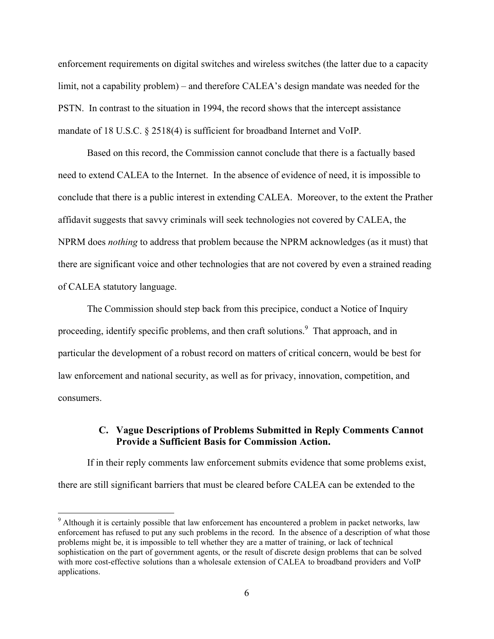enforcement requirements on digital switches and wireless switches (the latter due to a capacity limit, not a capability problem) – and therefore CALEA's design mandate was needed for the PSTN. In contrast to the situation in 1994, the record shows that the intercept assistance mandate of 18 U.S.C. § 2518(4) is sufficient for broadband Internet and VoIP.

Based on this record, the Commission cannot conclude that there is a factually based need to extend CALEA to the Internet. In the absence of evidence of need, it is impossible to conclude that there is a public interest in extending CALEA. Moreover, to the extent the Prather affidavit suggests that savvy criminals will seek technologies not covered by CALEA, the NPRM does *nothing* to address that problem because the NPRM acknowledges (as it must) that there are significant voice and other technologies that are not covered by even a strained reading of CALEA statutory language.

The Commission should step back from this precipice, conduct a Notice of Inquiry proceeding, identify specific problems, and then craft solutions.<sup>9</sup> That approach, and in particular the development of a robust record on matters of critical concern, would be best for law enforcement and national security, as well as for privacy, innovation, competition, and consumers.

### C. Vague Descriptions of Problems Submitted in Reply Comments Cannot Provide a Sufficient Basis for Commission Action.

If in their reply comments law enforcement submits evidence that some problems exist, there are still significant barriers that must be cleared before CALEA can be extended to the

<sup>-&</sup>lt;br>9 <sup>9</sup> Although it is certainly possible that law enforcement has encountered a problem in packet networks, law enforcement has refused to put any such problems in the record. In the absence of a description of what those problems might be, it is impossible to tell whether they are a matter of training, or lack of technical sophistication on the part of government agents, or the result of discrete design problems that can be solved with more cost-effective solutions than a wholesale extension of CALEA to broadband providers and VoIP applications.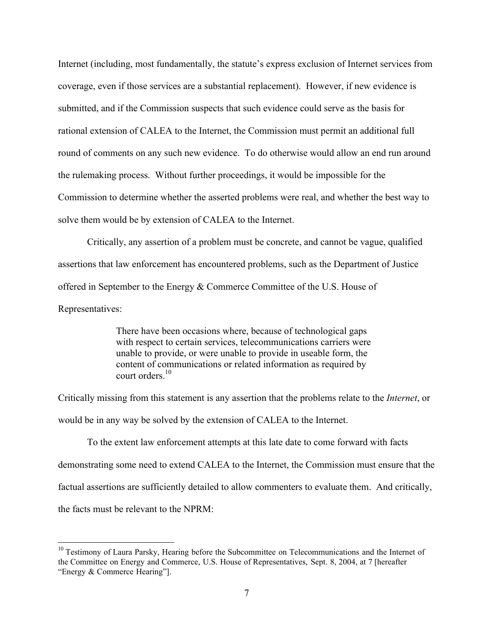Internet (including, most fundamentally, the statute's express exclusion of Internet services from coverage, even if those services are a substantial replacement). However, if new evidence is submitted, and if the Commission suspects that such evidence could serve as the basis for rational extension of CALEA to the Internet, the Commission must permit an additional full round of comments on any such new evidence. To do otherwise would allow an end run around the rulemaking process. Without further proceedings, it would be impossible for the Commission to determine whether the asserted problems were real, and whether the best way to solve them would be by extension of CALEA to the Internet.

Critically, any assertion of a problem must be concrete, and cannot be vague, qualified assertions that law enforcement has encountered problems, such as the Department of Justice offered in September to the Energy & Commerce Committee of the U.S. House of Representatives:

> There have been occasions where, because of technological gaps with respect to certain services, telecommunications carriers were unable to provide, or were unable to provide in useable form, the content of communications or related information as required by court orders<sup>10</sup>

Critically missing from this statement is any assertion that the problems relate to the *Internet*, or would be in any way be solved by the extension of CALEA to the Internet.

To the extent law enforcement attempts at this late date to come forward with facts demonstrating some need to extend CALEA to the Internet, the Commission must ensure that the factual assertions are sufficiently detailed to allow commenters to evaluate them. And critically, the facts must be relevant to the NPRM:

<sup>&</sup>lt;sup>10</sup> Testimony of Laura Parsky, Hearing before the Subcommittee on Telecommunications and the Internet of the Committee on Energy and Commerce, U.S. House of Representatives, Sept. 8, 2004, at 7 [hereafter "Energy & Commerce Hearing"].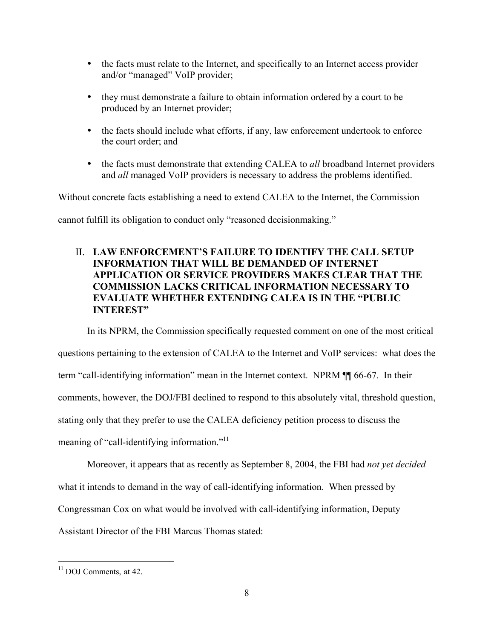- the facts must relate to the Internet, and specifically to an Internet access provider and/or "managed" VoIP provider;
- they must demonstrate a failure to obtain information ordered by a court to be produced by an Internet provider;
- the facts should include what efforts, if any, law enforcement undertook to enforce the court order; and
- the facts must demonstrate that extending CALEA to *all* broadband Internet providers and *all* managed VoIP providers is necessary to address the problems identified.

Without concrete facts establishing a need to extend CALEA to the Internet, the Commission cannot fulfill its obligation to conduct only "reasoned decisionmaking."

# II. LAW ENFORCEMENT'S FAILURE TO IDENTIFY THE CALL SETUP INFORMATION THAT WILL BE DEMANDED OF INTERNET APPLICATION OR SERVICE PROVIDERS MAKES CLEAR THAT THE COMMISSION LACKS CRITICAL INFORMATION NECESSARY TO EVALUATE WHETHER EXTENDING CALEA IS IN THE "PUBLIC INTEREST"

In its NPRM, the Commission specifically requested comment on one of the most critical

questions pertaining to the extension of CALEA to the Internet and VoIP services: what does the term "call-identifying information" mean in the Internet context. NPRM ¶¶ 66-67. In their comments, however, the DOJ/FBI declined to respond to this absolutely vital, threshold question, stating only that they prefer to use the CALEA deficiency petition process to discuss the meaning of "call-identifying information."<sup>11</sup>

Moreover, it appears that as recently as September 8, 2004, the FBI had *not yet decided* what it intends to demand in the way of call-identifying information. When pressed by Congressman Cox on what would be involved with call-identifying information, Deputy Assistant Director of the FBI Marcus Thomas stated:

 <sup>11</sup> DOJ Comments, at 42.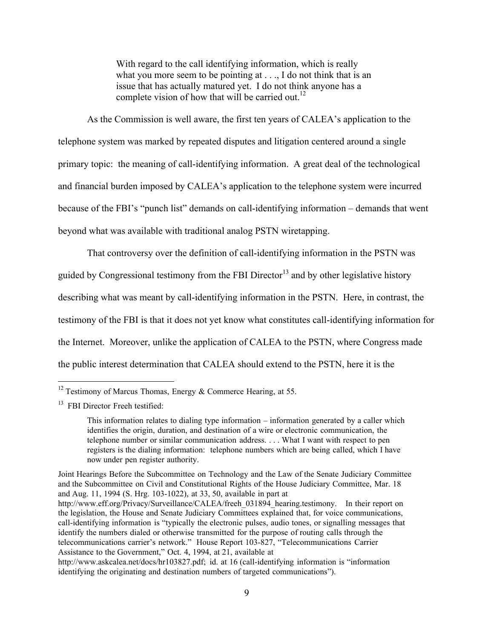With regard to the call identifying information, which is really what you more seem to be pointing at . . ., I do not think that is an issue that has actually matured yet. I do not think anyone has a complete vision of how that will be carried out.<sup>12</sup>

As the Commission is well aware, the first ten years of CALEA's application to the telephone system was marked by repeated disputes and litigation centered around a single primary topic: the meaning of call-identifying information. A great deal of the technological and financial burden imposed by CALEA's application to the telephone system were incurred because of the FBI's "punch list" demands on call-identifying information – demands that went beyond what was available with traditional analog PSTN wiretapping.

That controversy over the definition of call-identifying information in the PSTN was guided by Congressional testimony from the FBI Director<sup>13</sup> and by other legislative history describing what was meant by call-identifying information in the PSTN. Here, in contrast, the testimony of the FBI is that it does not yet know what constitutes call-identifying information for the Internet. Moreover, unlike the application of CALEA to the PSTN, where Congress made the public interest determination that CALEA should extend to the PSTN, here it is the

Joint Hearings Before the Subcommittee on Technology and the Law of the Senate Judiciary Committee and the Subcommittee on Civil and Constitutional Rights of the House Judiciary Committee, Mar. 18 and Aug. 11, 1994 (S. Hrg. 103-1022), at 33, 50, available in part at http://www.eff.org/Privacy/Surveillance/CALEA/freeh 031894 hearing.testimony. In their report on the legislation, the House and Senate Judiciary Committees explained that, for voice communications, call-identifying information is "typically the electronic pulses, audio tones, or signalling messages that identify the numbers dialed or otherwise transmitted for the purpose of routing calls through the telecommunications carrier's network." House Report 103-827, "Telecommunications Carrier Assistance to the Government," Oct. 4, 1994, at 21, available at

<sup>&</sup>lt;sup>12</sup> Testimony of Marcus Thomas, Energy & Commerce Hearing, at 55.

<sup>&</sup>lt;sup>13</sup> FBI Director Freeh testified:

This information relates to dialing type information – information generated by a caller which identifies the origin, duration, and destination of a wire or electronic communication, the telephone number or similar communication address. . . . What I want with respect to pen registers is the dialing information: telephone numbers which are being called, which I have now under pen register authority.

http://www.askcalea.net/docs/hr103827.pdf; id. at 16 (call-identifying information is "information identifying the originating and destination numbers of targeted communications").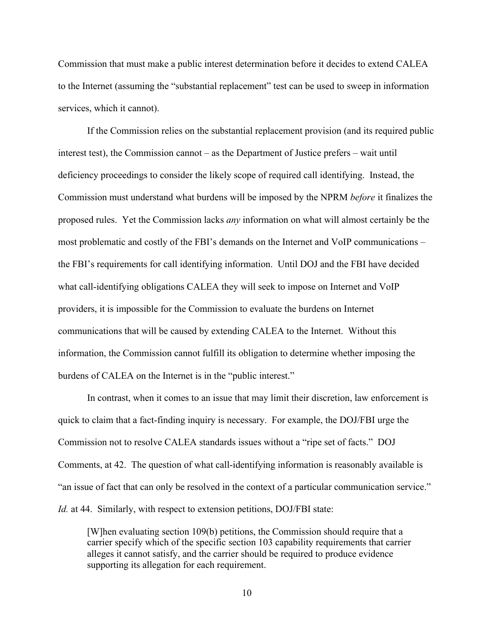Commission that must make a public interest determination before it decides to extend CALEA to the Internet (assuming the "substantial replacement" test can be used to sweep in information services, which it cannot).

If the Commission relies on the substantial replacement provision (and its required public interest test), the Commission cannot – as the Department of Justice prefers – wait until deficiency proceedings to consider the likely scope of required call identifying. Instead, the Commission must understand what burdens will be imposed by the NPRM *before* it finalizes the proposed rules. Yet the Commission lacks *any* information on what will almost certainly be the most problematic and costly of the FBI's demands on the Internet and VoIP communications – the FBI's requirements for call identifying information. Until DOJ and the FBI have decided what call-identifying obligations CALEA they will seek to impose on Internet and VoIP providers, it is impossible for the Commission to evaluate the burdens on Internet communications that will be caused by extending CALEA to the Internet. Without this information, the Commission cannot fulfill its obligation to determine whether imposing the burdens of CALEA on the Internet is in the "public interest."

In contrast, when it comes to an issue that may limit their discretion, law enforcement is quick to claim that a fact-finding inquiry is necessary. For example, the DOJ/FBI urge the Commission not to resolve CALEA standards issues without a "ripe set of facts." DOJ Comments, at 42. The question of what call-identifying information is reasonably available is "an issue of fact that can only be resolved in the context of a particular communication service." *Id.* at 44. Similarly, with respect to extension petitions, DOJ/FBI state:

[W]hen evaluating section 109(b) petitions, the Commission should require that a carrier specify which of the specific section 103 capability requirements that carrier alleges it cannot satisfy, and the carrier should be required to produce evidence supporting its allegation for each requirement.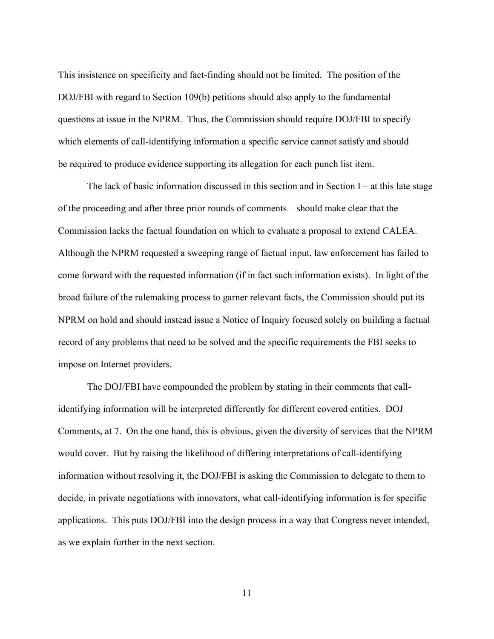This insistence on specificity and fact-finding should not be limited. The position of the DOJ/FBI with regard to Section 109(b) petitions should also apply to the fundamental questions at issue in the NPRM. Thus, the Commission should require DOJ/FBI to specify which elements of call-identifying information a specific service cannot satisfy and should be required to produce evidence supporting its allegation for each punch list item.

The lack of basic information discussed in this section and in Section  $I - at$  this late stage of the proceeding and after three prior rounds of comments – should make clear that the Commission lacks the factual foundation on which to evaluate a proposal to extend CALEA. Although the NPRM requested a sweeping range of factual input, law enforcement has failed to come forward with the requested information (if in fact such information exists). In light of the broad failure of the rulemaking process to garner relevant facts, the Commission should put its NPRM on hold and should instead issue a Notice of Inquiry focused solely on building a factual record of any problems that need to be solved and the specific requirements the FBI seeks to impose on Internet providers.

The DOJ/FBI have compounded the problem by stating in their comments that callidentifying information will be interpreted differently for different covered entities. DOJ Comments, at 7. On the one hand, this is obvious, given the diversity of services that the NPRM would cover. But by raising the likelihood of differing interpretations of call-identifying information without resolving it, the DOJ/FBI is asking the Commission to delegate to them to decide, in private negotiations with innovators, what call-identifying information is for specific applications. This puts DOJ/FBI into the design process in a way that Congress never intended, as we explain further in the next section.

11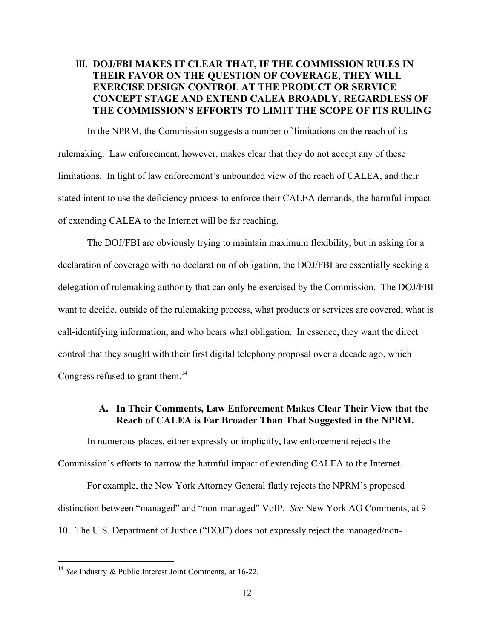# III. DOJ/FBI MAKES IT CLEAR THAT, IF THE COMMISSION RULES IN THEIR FAVOR ON THE QUESTION OF COVERAGE, THEY WILL EXERCISE DESIGN CONTROL AT THE PRODUCT OR SERVICE CONCEPT STAGE AND EXTEND CALEA BROADLY, REGARDLESS OF THE COMMISSION'S EFFORTS TO LIMIT THE SCOPE OF ITS RULING

In the NPRM, the Commission suggests a number of limitations on the reach of its rulemaking. Law enforcement, however, makes clear that they do not accept any of these limitations. In light of law enforcement's unbounded view of the reach of CALEA, and their stated intent to use the deficiency process to enforce their CALEA demands, the harmful impact of extending CALEA to the Internet will be far reaching.

The DOJ/FBI are obviously trying to maintain maximum flexibility, but in asking for a declaration of coverage with no declaration of obligation, the DOJ/FBI are essentially seeking a delegation of rulemaking authority that can only be exercised by the Commission. The DOJ/FBI want to decide, outside of the rulemaking process, what products or services are covered, what is call-identifying information, and who bears what obligation. In essence, they want the direct control that they sought with their first digital telephony proposal over a decade ago, which Congress refused to grant them.<sup>14</sup>

### A. In Their Comments, Law Enforcement Makes Clear Their View that the Reach of CALEA is Far Broader Than That Suggested in the NPRM.

In numerous places, either expressly or implicitly, law enforcement rejects the Commission's efforts to narrow the harmful impact of extending CALEA to the Internet.

For example, the New York Attorney General flatly rejects the NPRM's proposed distinction between "managed" and "non-managed" VoIP. *See* New York AG Comments, at 9- 10. The U.S. Department of Justice ("DOJ") does not expressly reject the managed/non-

 <sup>14</sup> *See* Industry & Public Interest Joint Comments, at 16-22.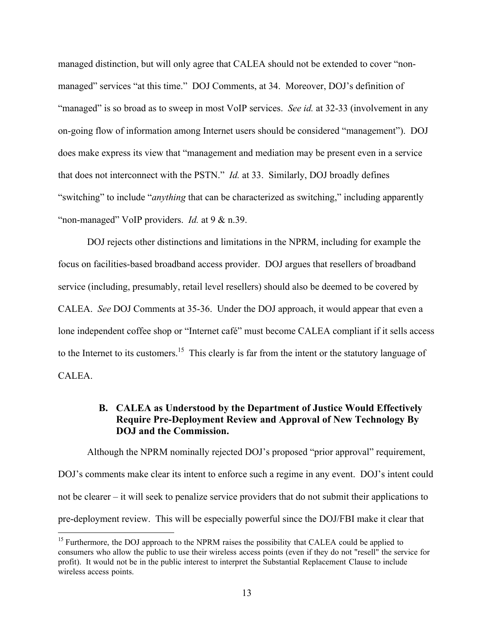managed distinction, but will only agree that CALEA should not be extended to cover "nonmanaged" services "at this time." DOJ Comments, at 34. Moreover, DOJ's definition of "managed" is so broad as to sweep in most VoIP services. *See id.* at 32-33 (involvement in any on-going flow of information among Internet users should be considered "management"). DOJ does make express its view that "management and mediation may be present even in a service that does not interconnect with the PSTN." *Id.* at 33. Similarly, DOJ broadly defines "switching" to include "*anything* that can be characterized as switching," including apparently "non-managed" VoIP providers. *Id.* at 9 & n.39.

DOJ rejects other distinctions and limitations in the NPRM, including for example the focus on facilities-based broadband access provider. DOJ argues that resellers of broadband service (including, presumably, retail level resellers) should also be deemed to be covered by CALEA. *See* DOJ Comments at 35-36. Under the DOJ approach, it would appear that even a lone independent coffee shop or "Internet café" must become CALEA compliant if it sells access to the Internet to its customers.<sup>15</sup> This clearly is far from the intent or the statutory language of CALEA.

### B. CALEA as Understood by the Department of Justice Would Effectively Require Pre-Deployment Review and Approval of New Technology By DOJ and the Commission.

Although the NPRM nominally rejected DOJ's proposed "prior approval" requirement, DOJ's comments make clear its intent to enforce such a regime in any event. DOJ's intent could not be clearer – it will seek to penalize service providers that do not submit their applications to pre-deployment review. This will be especially powerful since the DOJ/FBI make it clear that

<sup>&</sup>lt;sup>15</sup> Furthermore, the DOJ approach to the NPRM raises the possibility that CALEA could be applied to consumers who allow the public to use their wireless access points (even if they do not "resell" the service for profit). It would not be in the public interest to interpret the Substantial Replacement Clause to include wireless access points.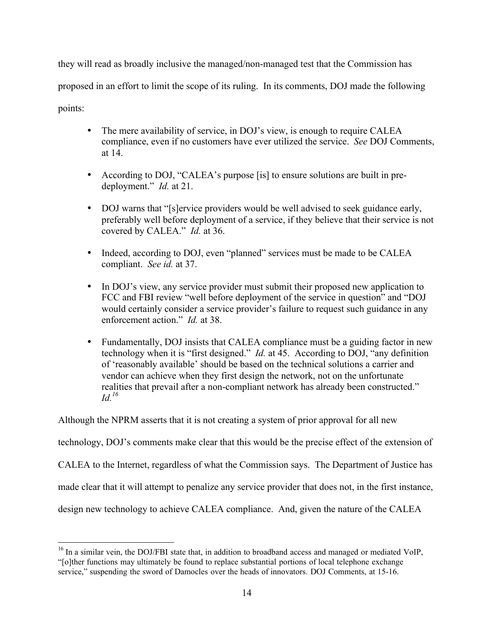they will read as broadly inclusive the managed/non-managed test that the Commission has proposed in an effort to limit the scope of its ruling. In its comments, DOJ made the following points:

- The mere availability of service, in DOJ's view, is enough to require CALEA compliance, even if no customers have ever utilized the service. *See* DOJ Comments, at 14.
- According to DOJ, "CALEA's purpose [is] to ensure solutions are built in predeployment." *Id.* at 21.
- DOJ warns that "[s]ervice providers would be well advised to seek guidance early, preferably well before deployment of a service, if they believe that their service is not covered by CALEA." *Id.* at 36.
- Indeed, according to DOJ, even "planned" services must be made to be CALEA compliant. *See id.* at 37.
- In DOJ's view, any service provider must submit their proposed new application to FCC and FBI review "well before deployment of the service in question" and "DOJ would certainly consider a service provider's failure to request such guidance in any enforcement action." *Id.* at 38.
- Fundamentally, DOJ insists that CALEA compliance must be a guiding factor in new technology when it is "first designed." *Id.* at 45. According to DOJ, "any definition of 'reasonably available' should be based on the technical solutions a carrier and vendor can achieve when they first design the network, not on the unfortunate realities that prevail after a non-compliant network has already been constructed." *Id.16*

Although the NPRM asserts that it is not creating a system of prior approval for all new

technology, DOJ's comments make clear that this would be the precise effect of the extension of

CALEA to the Internet, regardless of what the Commission says. The Department of Justice has

made clear that it will attempt to penalize any service provider that does not, in the first instance,

design new technology to achieve CALEA compliance. And, given the nature of the CALEA

<sup>&</sup>lt;sup>16</sup> In a similar vein, the DOJ/FBI state that, in addition to broadband access and managed or mediated VoIP, "[o]ther functions may ultimately be found to replace substantial portions of local telephone exchange service," suspending the sword of Damocles over the heads of innovators. DOJ Comments, at 15-16.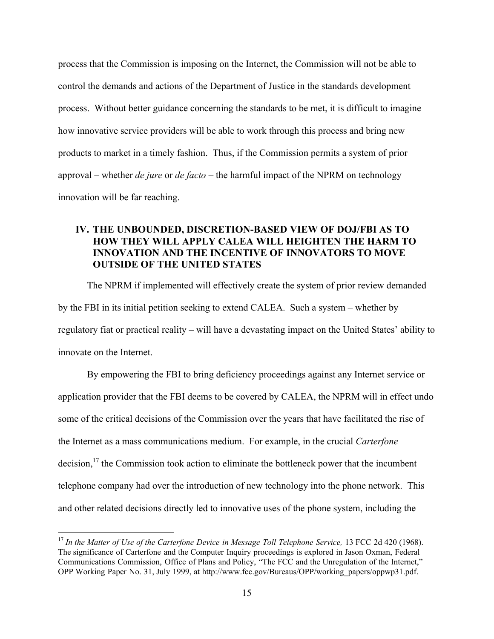process that the Commission is imposing on the Internet, the Commission will not be able to control the demands and actions of the Department of Justice in the standards development process. Without better guidance concerning the standards to be met, it is difficult to imagine how innovative service providers will be able to work through this process and bring new products to market in a timely fashion. Thus, if the Commission permits a system of prior approval – whether *de jure* or *de facto* – the harmful impact of the NPRM on technology innovation will be far reaching.

# IV. THE UNBOUNDED, DISCRETION-BASED VIEW OF DOJ/FBI AS TO HOW THEY WILL APPLY CALEA WILL HEIGHTEN THE HARM TO INNOVATION AND THE INCENTIVE OF INNOVATORS TO MOVE OUTSIDE OF THE UNITED STATES

The NPRM if implemented will effectively create the system of prior review demanded by the FBI in its initial petition seeking to extend CALEA. Such a system – whether by regulatory fiat or practical reality – will have a devastating impact on the United States' ability to innovate on the Internet.

By empowering the FBI to bring deficiency proceedings against any Internet service or application provider that the FBI deems to be covered by CALEA, the NPRM will in effect undo some of the critical decisions of the Commission over the years that have facilitated the rise of the Internet as a mass communications medium. For example, in the crucial *Carterfone* decision,<sup>17</sup> the Commission took action to eliminate the bottleneck power that the incumbent telephone company had over the introduction of new technology into the phone network. This and other related decisions directly led to innovative uses of the phone system, including the

<sup>&</sup>lt;sup>17</sup> In the Matter of Use of the Carterfone Device in Message Toll Telephone Service, 13 FCC 2d 420 (1968). The significance of Carterfone and the Computer Inquiry proceedings is explored in Jason Oxman, Federal Communications Commission, Office of Plans and Policy, "The FCC and the Unregulation of the Internet," OPP Working Paper No. 31, July 1999, at http://www.fcc.gov/Bureaus/OPP/working\_papers/oppwp31.pdf.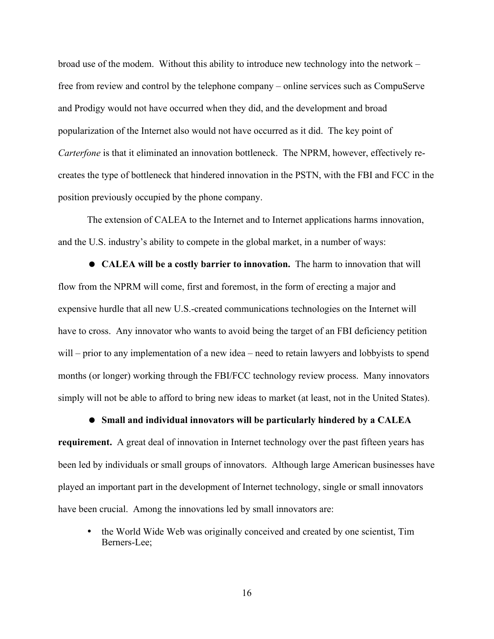broad use of the modem. Without this ability to introduce new technology into the network – free from review and control by the telephone company – online services such as CompuServe and Prodigy would not have occurred when they did, and the development and broad popularization of the Internet also would not have occurred as it did. The key point of *Carterfone* is that it eliminated an innovation bottleneck. The NPRM, however, effectively recreates the type of bottleneck that hindered innovation in the PSTN, with the FBI and FCC in the position previously occupied by the phone company.

The extension of CALEA to the Internet and to Internet applications harms innovation, and the U.S. industry's ability to compete in the global market, in a number of ways:

 CALEA will be a costly barrier to innovation. The harm to innovation that will flow from the NPRM will come, first and foremost, in the form of erecting a major and expensive hurdle that all new U.S.-created communications technologies on the Internet will have to cross. Any innovator who wants to avoid being the target of an FBI deficiency petition will – prior to any implementation of a new idea – need to retain lawyers and lobbyists to spend months (or longer) working through the FBI/FCC technology review process. Many innovators simply will not be able to afford to bring new ideas to market (at least, not in the United States).

 Small and individual innovators will be particularly hindered by a CALEA requirement. A great deal of innovation in Internet technology over the past fifteen years has been led by individuals or small groups of innovators. Although large American businesses have played an important part in the development of Internet technology, single or small innovators have been crucial. Among the innovations led by small innovators are:

• the World Wide Web was originally conceived and created by one scientist, Tim Berners-Lee;

16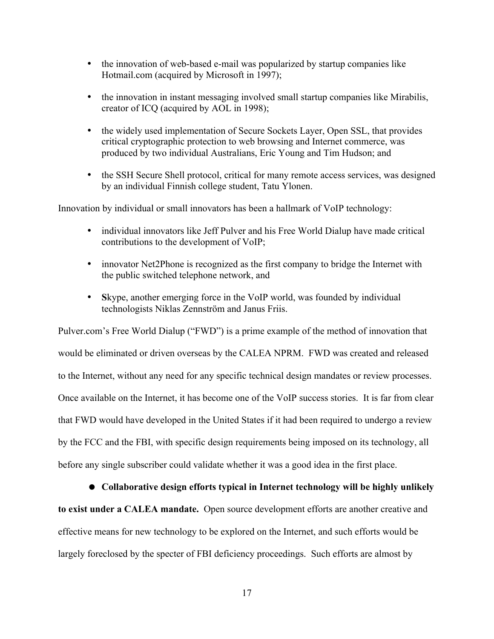- the innovation of web-based e-mail was popularized by startup companies like Hotmail.com (acquired by Microsoft in 1997);
- the innovation in instant messaging involved small startup companies like Mirabilis, creator of ICQ (acquired by AOL in 1998);
- the widely used implementation of Secure Sockets Layer, Open SSL, that provides critical cryptographic protection to web browsing and Internet commerce, was produced by two individual Australians, Eric Young and Tim Hudson; and
- the SSH Secure Shell protocol, critical for many remote access services, was designed by an individual Finnish college student, Tatu Ylonen.

Innovation by individual or small innovators has been a hallmark of VoIP technology:

- individual innovators like Jeff Pulver and his Free World Dialup have made critical contributions to the development of VoIP;
- innovator Net2Phone is recognized as the first company to bridge the Internet with the public switched telephone network, and
- Skype, another emerging force in the VoIP world, was founded by individual technologists Niklas Zennström and Janus Friis.

Pulver.com's Free World Dialup ("FWD") is a prime example of the method of innovation that would be eliminated or driven overseas by the CALEA NPRM. FWD was created and released to the Internet, without any need for any specific technical design mandates or review processes. Once available on the Internet, it has become one of the VoIP success stories. It is far from clear that FWD would have developed in the United States if it had been required to undergo a review by the FCC and the FBI, with specific design requirements being imposed on its technology, all before any single subscriber could validate whether it was a good idea in the first place.

 Collaborative design efforts typical in Internet technology will be highly unlikely to exist under a CALEA mandate. Open source development efforts are another creative and effective means for new technology to be explored on the Internet, and such efforts would be largely foreclosed by the specter of FBI deficiency proceedings. Such efforts are almost by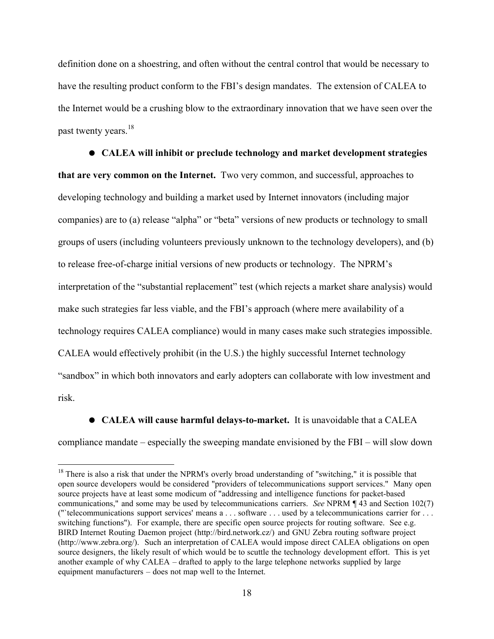definition done on a shoestring, and often without the central control that would be necessary to have the resulting product conform to the FBI's design mandates. The extension of CALEA to the Internet would be a crushing blow to the extraordinary innovation that we have seen over the past twenty years.<sup>18</sup>

 CALEA will inhibit or preclude technology and market development strategies that are very common on the Internet. Two very common, and successful, approaches to developing technology and building a market used by Internet innovators (including major companies) are to (a) release "alpha" or "beta" versions of new products or technology to small groups of users (including volunteers previously unknown to the technology developers), and (b) to release free-of-charge initial versions of new products or technology. The NPRM's interpretation of the "substantial replacement" test (which rejects a market share analysis) would make such strategies far less viable, and the FBI's approach (where mere availability of a technology requires CALEA compliance) would in many cases make such strategies impossible. CALEA would effectively prohibit (in the U.S.) the highly successful Internet technology "sandbox" in which both innovators and early adopters can collaborate with low investment and risk.

 CALEA will cause harmful delays-to-market. It is unavoidable that a CALEA compliance mandate – especially the sweeping mandate envisioned by the FBI – will slow down

<sup>&</sup>lt;sup>18</sup> There is also a risk that under the NPRM's overly broad understanding of "switching," it is possible that open source developers would be considered "providers of telecommunications support services." Many open source projects have at least some modicum of "addressing and intelligence functions for packet-based communications," and some may be used by telecommunications carriers. *See* NPRM ¶ 43 and Section 102(7) ("`telecommunications support services' means a . . . software . . . used by a telecommunications carrier for . . . switching functions"). For example, there are specific open source projects for routing software. See e.g. BIRD Internet Routing Daemon project (http://bird.network.cz/) and GNU Zebra routing software project (http://www.zebra.org/). Such an interpretation of CALEA would impose direct CALEA obligations on open source designers, the likely result of which would be to scuttle the technology development effort. This is yet another example of why CALEA – drafted to apply to the large telephone networks supplied by large equipment manufacturers – does not map well to the Internet.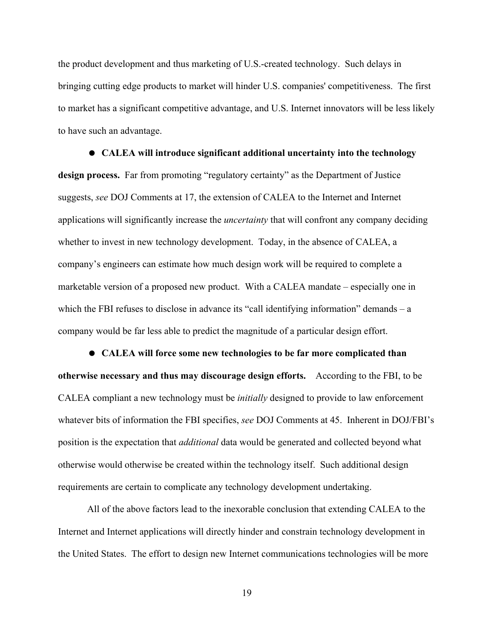the product development and thus marketing of U.S.-created technology. Such delays in bringing cutting edge products to market will hinder U.S. companies' competitiveness. The first to market has a significant competitive advantage, and U.S. Internet innovators will be less likely to have such an advantage.

# CALEA will introduce significant additional uncertainty into the technology

design process. Far from promoting "regulatory certainty" as the Department of Justice suggests, *see* DOJ Comments at 17, the extension of CALEA to the Internet and Internet applications will significantly increase the *uncertainty* that will confront any company deciding whether to invest in new technology development. Today, in the absence of CALEA, a company's engineers can estimate how much design work will be required to complete a marketable version of a proposed new product. With a CALEA mandate – especially one in which the FBI refuses to disclose in advance its "call identifying information" demands – a company would be far less able to predict the magnitude of a particular design effort.

 CALEA will force some new technologies to be far more complicated than otherwise necessary and thus may discourage design efforts. According to the FBI, to be CALEA compliant a new technology must be *initially* designed to provide to law enforcement whatever bits of information the FBI specifies, *see* DOJ Comments at 45. Inherent in DOJ/FBI's position is the expectation that *additional* data would be generated and collected beyond what otherwise would otherwise be created within the technology itself. Such additional design requirements are certain to complicate any technology development undertaking.

All of the above factors lead to the inexorable conclusion that extending CALEA to the Internet and Internet applications will directly hinder and constrain technology development in the United States. The effort to design new Internet communications technologies will be more

19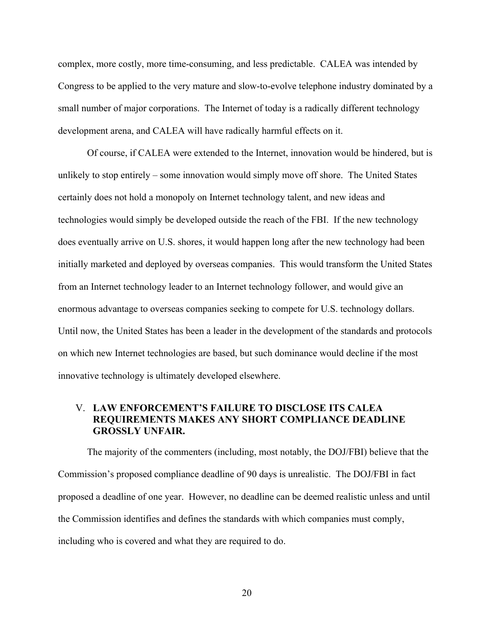complex, more costly, more time-consuming, and less predictable. CALEA was intended by Congress to be applied to the very mature and slow-to-evolve telephone industry dominated by a small number of major corporations. The Internet of today is a radically different technology development arena, and CALEA will have radically harmful effects on it.

Of course, if CALEA were extended to the Internet, innovation would be hindered, but is unlikely to stop entirely – some innovation would simply move off shore. The United States certainly does not hold a monopoly on Internet technology talent, and new ideas and technologies would simply be developed outside the reach of the FBI. If the new technology does eventually arrive on U.S. shores, it would happen long after the new technology had been initially marketed and deployed by overseas companies. This would transform the United States from an Internet technology leader to an Internet technology follower, and would give an enormous advantage to overseas companies seeking to compete for U.S. technology dollars. Until now, the United States has been a leader in the development of the standards and protocols on which new Internet technologies are based, but such dominance would decline if the most innovative technology is ultimately developed elsewhere.

### V. LAW ENFORCEMENT'S FAILURE TO DISCLOSE ITS CALEA REQUIREMENTS MAKES ANY SHORT COMPLIANCE DEADLINE GROSSLY UNFAIR.

The majority of the commenters (including, most notably, the DOJ/FBI) believe that the Commission's proposed compliance deadline of 90 days is unrealistic. The DOJ/FBI in fact proposed a deadline of one year. However, no deadline can be deemed realistic unless and until the Commission identifies and defines the standards with which companies must comply, including who is covered and what they are required to do.

20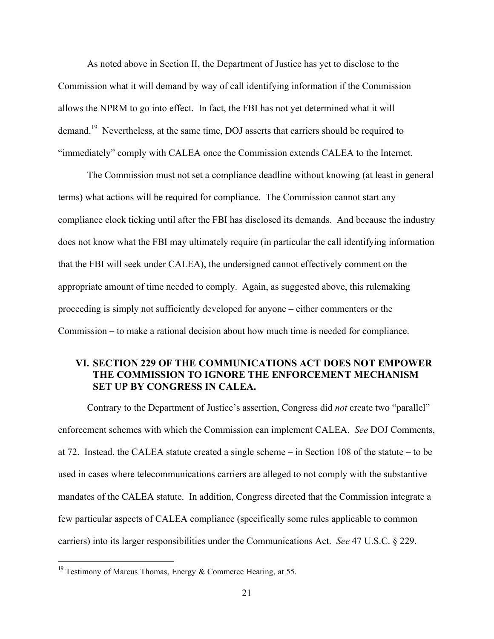As noted above in Section II, the Department of Justice has yet to disclose to the Commission what it will demand by way of call identifying information if the Commission allows the NPRM to go into effect. In fact, the FBI has not yet determined what it will demand.<sup>19</sup> Nevertheless, at the same time, DOJ asserts that carriers should be required to "immediately" comply with CALEA once the Commission extends CALEA to the Internet.

The Commission must not set a compliance deadline without knowing (at least in general terms) what actions will be required for compliance. The Commission cannot start any compliance clock ticking until after the FBI has disclosed its demands. And because the industry does not know what the FBI may ultimately require (in particular the call identifying information that the FBI will seek under CALEA), the undersigned cannot effectively comment on the appropriate amount of time needed to comply. Again, as suggested above, this rulemaking proceeding is simply not sufficiently developed for anyone – either commenters or the Commission – to make a rational decision about how much time is needed for compliance.

### VI. SECTION 229 OF THE COMMUNICATIONS ACT DOES NOT EMPOWER THE COMMISSION TO IGNORE THE ENFORCEMENT MECHANISM SET UP BY CONGRESS IN CALEA.

Contrary to the Department of Justice's assertion, Congress did *not* create two "parallel" enforcement schemes with which the Commission can implement CALEA. *See* DOJ Comments, at 72. Instead, the CALEA statute created a single scheme – in Section 108 of the statute – to be used in cases where telecommunications carriers are alleged to not comply with the substantive mandates of the CALEA statute. In addition, Congress directed that the Commission integrate a few particular aspects of CALEA compliance (specifically some rules applicable to common carriers) into its larger responsibilities under the Communications Act. *See* 47 U.S.C. § 229.

<sup>&</sup>lt;sup>19</sup> Testimony of Marcus Thomas, Energy & Commerce Hearing, at 55.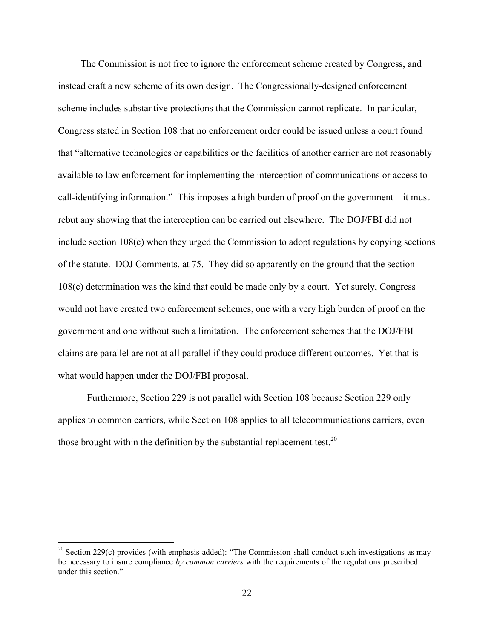The Commission is not free to ignore the enforcement scheme created by Congress, and instead craft a new scheme of its own design. The Congressionally-designed enforcement scheme includes substantive protections that the Commission cannot replicate. In particular, Congress stated in Section 108 that no enforcement order could be issued unless a court found that "alternative technologies or capabilities or the facilities of another carrier are not reasonably available to law enforcement for implementing the interception of communications or access to call-identifying information." This imposes a high burden of proof on the government – it must rebut any showing that the interception can be carried out elsewhere. The DOJ/FBI did not include section 108(c) when they urged the Commission to adopt regulations by copying sections of the statute. DOJ Comments, at 75. They did so apparently on the ground that the section 108(c) determination was the kind that could be made only by a court. Yet surely, Congress would not have created two enforcement schemes, one with a very high burden of proof on the government and one without such a limitation. The enforcement schemes that the DOJ/FBI claims are parallel are not at all parallel if they could produce different outcomes. Yet that is what would happen under the DOJ/FBI proposal.

Furthermore, Section 229 is not parallel with Section 108 because Section 229 only applies to common carriers, while Section 108 applies to all telecommunications carriers, even those brought within the definition by the substantial replacement test.<sup>20</sup>

<sup>&</sup>lt;sup>20</sup> Section 229(c) provides (with emphasis added): "The Commission shall conduct such investigations as may be necessary to insure compliance *by common carriers* with the requirements of the regulations prescribed under this section."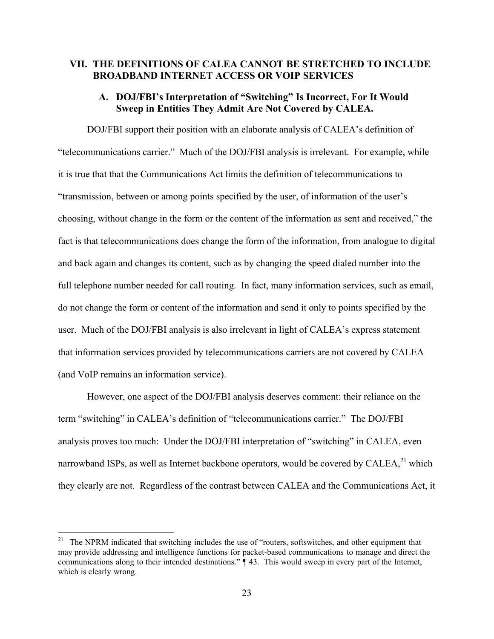### VII. THE DEFINITIONS OF CALEA CANNOT BE STRETCHED TO INCLUDE BROADBAND INTERNET ACCESS OR VOIP SERVICES

### A. DOJ/FBI's Interpretation of "Switching" Is Incorrect, For It Would Sweep in Entities They Admit Are Not Covered by CALEA.

DOJ/FBI support their position with an elaborate analysis of CALEA's definition of "telecommunications carrier." Much of the DOJ/FBI analysis is irrelevant. For example, while it is true that that the Communications Act limits the definition of telecommunications to "transmission, between or among points specified by the user, of information of the user's choosing, without change in the form or the content of the information as sent and received," the fact is that telecommunications does change the form of the information, from analogue to digital and back again and changes its content, such as by changing the speed dialed number into the full telephone number needed for call routing. In fact, many information services, such as email, do not change the form or content of the information and send it only to points specified by the user. Much of the DOJ/FBI analysis is also irrelevant in light of CALEA's express statement that information services provided by telecommunications carriers are not covered by CALEA (and VoIP remains an information service).

However, one aspect of the DOJ/FBI analysis deserves comment: their reliance on the term "switching" in CALEA's definition of "telecommunications carrier." The DOJ/FBI analysis proves too much: Under the DOJ/FBI interpretation of "switching" in CALEA, even narrowband ISPs, as well as Internet backbone operators, would be covered by CALEA, $^{21}$  which they clearly are not. Regardless of the contrast between CALEA and the Communications Act, it

 <sup>21</sup> The NPRM indicated that switching includes the use of "routers, softswitches, and other equipment that may provide addressing and intelligence functions for packet-based communications to manage and direct the communications along to their intended destinations." ¶ 43. This would sweep in every part of the Internet, which is clearly wrong.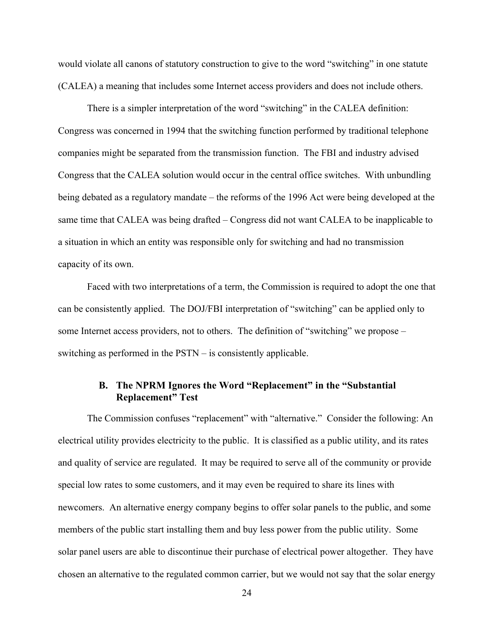would violate all canons of statutory construction to give to the word "switching" in one statute (CALEA) a meaning that includes some Internet access providers and does not include others.

There is a simpler interpretation of the word "switching" in the CALEA definition: Congress was concerned in 1994 that the switching function performed by traditional telephone companies might be separated from the transmission function. The FBI and industry advised Congress that the CALEA solution would occur in the central office switches. With unbundling being debated as a regulatory mandate – the reforms of the 1996 Act were being developed at the same time that CALEA was being drafted – Congress did not want CALEA to be inapplicable to a situation in which an entity was responsible only for switching and had no transmission capacity of its own.

Faced with two interpretations of a term, the Commission is required to adopt the one that can be consistently applied. The DOJ/FBI interpretation of "switching" can be applied only to some Internet access providers, not to others. The definition of "switching" we propose – switching as performed in the PSTN – is consistently applicable.

### B. The NPRM Ignores the Word "Replacement" in the "Substantial Replacement" Test

The Commission confuses "replacement" with "alternative." Consider the following: An electrical utility provides electricity to the public. It is classified as a public utility, and its rates and quality of service are regulated. It may be required to serve all of the community or provide special low rates to some customers, and it may even be required to share its lines with newcomers. An alternative energy company begins to offer solar panels to the public, and some members of the public start installing them and buy less power from the public utility. Some solar panel users are able to discontinue their purchase of electrical power altogether. They have chosen an alternative to the regulated common carrier, but we would not say that the solar energy

24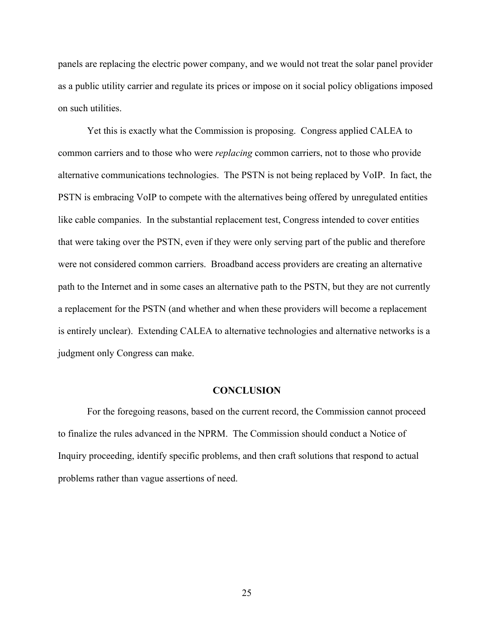panels are replacing the electric power company, and we would not treat the solar panel provider as a public utility carrier and regulate its prices or impose on it social policy obligations imposed on such utilities.

Yet this is exactly what the Commission is proposing. Congress applied CALEA to common carriers and to those who were *replacing* common carriers, not to those who provide alternative communications technologies. The PSTN is not being replaced by VoIP. In fact, the PSTN is embracing VoIP to compete with the alternatives being offered by unregulated entities like cable companies. In the substantial replacement test, Congress intended to cover entities that were taking over the PSTN, even if they were only serving part of the public and therefore were not considered common carriers. Broadband access providers are creating an alternative path to the Internet and in some cases an alternative path to the PSTN, but they are not currently a replacement for the PSTN (and whether and when these providers will become a replacement is entirely unclear). Extending CALEA to alternative technologies and alternative networks is a judgment only Congress can make.

#### **CONCLUSION**

For the foregoing reasons, based on the current record, the Commission cannot proceed to finalize the rules advanced in the NPRM. The Commission should conduct a Notice of Inquiry proceeding, identify specific problems, and then craft solutions that respond to actual problems rather than vague assertions of need.